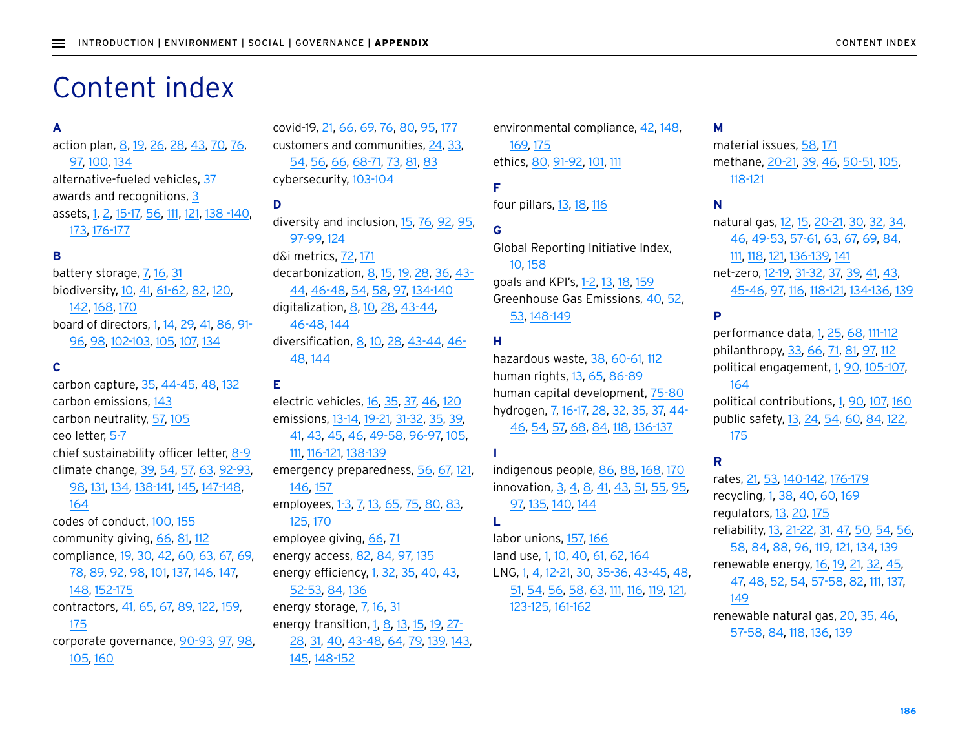# Content index

## **A**

action plan, 8, 19, 26, 28, 43, 70, 76, 97, 100, 134 alternative-fueled vehicles, 37 awards and recognitions, 3 assets, 1, 2, 15-17, 56, 111, 121, 138 -140, 173, 176-177

#### **B**

battery storage, 7, 16, 31 biodiversity, 10, 41, 61-62, 82, 120, 142, 168, 170 board of directors, 1, 14, 29, 41, 86, 91- 96, 98, 102-103, 105, 107, 134

## **C**

carbon capture, 35, 44-45, 48, 132 carbon emissions, 143 carbon neutrality, 57, 105 ceo letter, 5-7 chief sustainability officer letter, 8-9 climate change, 39, 54, 57, 63, 92-93, 98, 131, 134, 138-141, 145, 147-148,

#### 164

codes of conduct, 100, 155 community giving, 66, 81, 112 compliance, 19, 30, 42, 60, 63, 67, 69, 78, 89, 92, 98, 101, 137, 146, 147, 148, 152-175 contractors, 41, 65, 67, 89, 122, 159, 175 corporate governance, 90-93, 97, 98, 105, 160

covid-19, 21, 66, 69, 76, 80, 95, 177 customers and communities, 24, 33, 54, 56, 66, 68-71, 73, 81, 83 cybersecurity, 103-104

## **D**

diversity and inclusion, 15, 76, 92, 95, 97-99, 124 d&i metrics, 72, 171 decarbonization, 8, 15, 19, 28, 36, 43-44, 46-48, 54, 58, 97, 134-140 digitalization, 8, 10, 28, 43-44, 46-48, 144 diversification, 8, 10, 28, 43-44, 46- 48, 144

#### **E**

electric vehicles, 16, 35, 37, 46, 120 emissions, 13-14, 19-21, 31-32, 35, 39, 41, 43, 45, 46, 49-58, 96-97, 105, 111, 116-121, 138-139 emergency preparedness, 56, 67, 121, 146, 157 employees, 1-3, 7, 13, 65, 75, 80, 83, 125, 170 employee giving, 66, 71 energy access, 82, 84, 97, 135 energy efficiency, 1, 32, 35, 40, 43, 52-53, 84, 136 energy storage, 7, 16, 31 energy transition, 1, 8, 13, 15, 19, 27- 28, 31, 40, 43-48, 64, 79, 139, 143,

145, 148-152

environmental compliance, 42, 148, 169, 175 ethics, 80, 91-92, 101, 111

## **F** four pillars, 13, 18, 116

# **G**

Global Reporting Initiative Index, 10, 158 goals and KPI's, 1-2, 13, 18, 159 Greenhouse Gas Emissions, 40, 52, 53, 148-149

## **H**

hazardous waste, 38, 60-61, 112 human rights, 13, 65, 86-89 human capital development, 75-80 hydrogen, 7, 16-17, 28, 32, 35, 37, 44- 46, 54, 57, 68, 84, 118, 136-137

## **I**

indigenous people, 86, 88, 168, 170 innovation, 3, 4, 8, 41, 43, 51, 55, 95, 97, 135, 140, 144

## **L**

labor unions, 157, 166 land use, 1, 10, 40, 61, 62, 164 LNG, 1, 4, 12-21, 30, 35-36, 43-45, 48, 51, 54, 56, 58, 63, 111, 116, 119, 121, 123-125, 161-162

## **M**

material issues, 58, 171 methane, 20-21, 39, 46, 50-51, 105, 118-121

## **N**

natural gas, 12, 15, 20-21, 30, 32, 34, 46, 49-53, 57-61, 63, 67, 69, 84, 111, 118, 121, 136-139, 141 net-zero, 12-19, 31-32, 37, 39, 41, 43, 45-46, 97, 116, 118-121, 134-136, 139

#### **P**

performance data, 1, 25, 68, 111-112 philanthropy, 33, 66, 71, 81, 97, 112 political engagement, 1, 90, 105-107,

## 164

political contributions, 1, 90, 107, 160 public safety, 13, 24, 54, 60, 84, 122, 175

## **R**

rates, 21, 53, 140-142, 176-179 recycling, 1, 38, 40, 60, 169 regulators, 13, 20, 175 reliability, 13, 21-22, 31, 47, 50, 54, 56, 58, 84, 88, 96, 119, 121, 134, 139 renewable energy, 16, 19, 21, 32, 45, 47, 48, 52, 54, 57-58, 82, 111, 137, 149 renewable natural gas, 20, 35, 46,

57-58, 84, 118, 136, 139